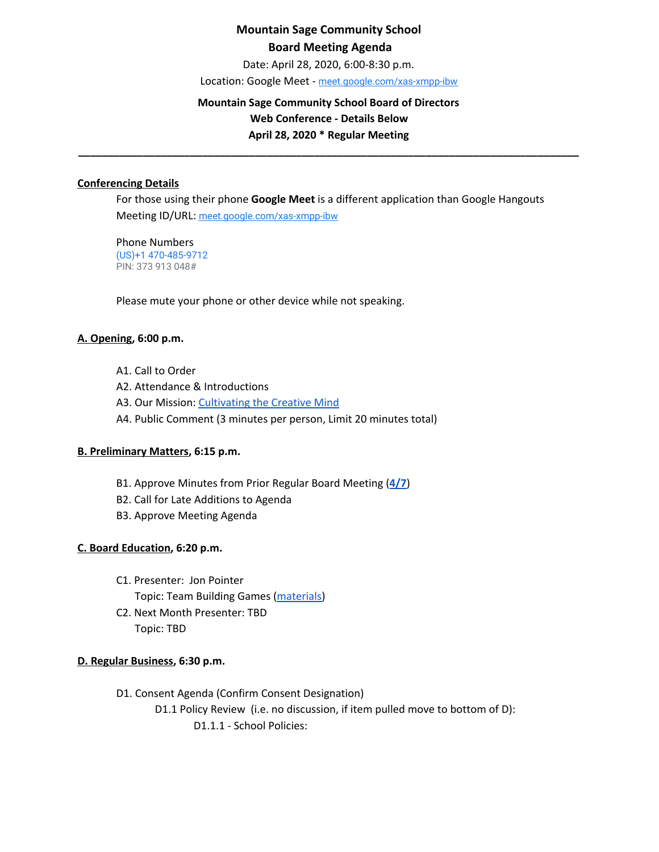# **Mountain Sage Community School Board Meeting Agenda**

Date: April 28, 2020, 6:00-8:30 p.m.

Location: Google Meet - [meet.google.com/xas-xmpp-ibw](https://meet.google.com/xas-xmpp-ibw?hs=122&authuser=1)

## **Mountain Sage Community School Board of Directors Web Conference - Details Below April 28, 2020 \* Regular Meeting**

### **\_\_\_\_\_\_\_\_\_\_\_\_\_\_\_\_\_\_\_\_\_\_\_\_\_\_\_\_\_\_\_\_\_\_\_\_\_\_\_\_\_\_\_\_\_\_\_\_\_\_\_\_\_\_\_\_\_\_\_\_\_\_\_\_\_\_\_\_\_\_\_\_\_\_\_\_\_\_\_\_\_\_\_\_\_**

### **Conferencing Details**

For those using their phone **Google Meet** is a different application than Google Hangouts Meeting ID/URL: [meet.google.com/xas-xmpp-ibw](https://meet.google.com/xas-xmpp-ibw?hs=122&authuser=1)

Phone Numbers (US)+1 470-485-9712 PIN: 373 913 048#

Please mute your phone or other device while not speaking.

### **A. Opening, 6:00 p.m.**

- A1. Call to Order
- A2. Attendance & Introductions
- A3. Our Mission: [Cultivating](http://www.mountainsage.org/mission-and-vision.html) the Creative Mind
- A4. Public Comment (3 minutes per person, Limit 20 minutes total)

#### **B. Preliminary Matters, 6:15 p.m.**

- B1. Approve Minutes from Prior Regular Board Meeting (**[4/7](https://docs.google.com/document/d/12WOyPrwbWsBWvQDfJgmDIt_Pd3DrTVn_Z-c5wtuVTBg/edit?usp=sharing)**)
- B2. Call for Late Additions to Agenda
- B3. Approve Meeting Agenda

### **C. Board Education, 6:20 p.m.**

- C1. Presenter: Jon Pointer Topic: Team Building Games [\(materials](https://drive.google.com/drive/u/0/folders/1lX0HGQZNJX4sRLeo_PWYxBioyBl--7BS))
- C2. Next Month Presenter: TBD Topic: TBD

#### **D. Regular Business, 6:30 p.m.**

D1. Consent Agenda (Confirm Consent Designation) D1.1 Policy Review (i.e. no discussion, if item pulled move to bottom of D): D1.1.1 - School Policies: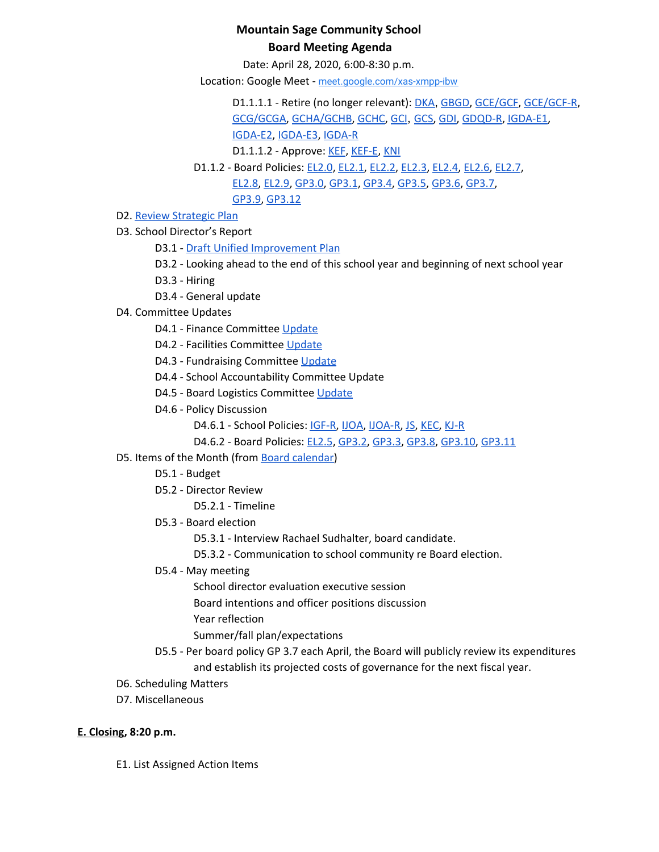# **Mountain Sage Community School Board Meeting Agenda**

Date: April 28, 2020, 6:00-8:30 p.m.

Location: Google Meet - [meet.google.com/xas-xmpp-ibw](https://meet.google.com/xas-xmpp-ibw?hs=122&authuser=1)

D1.1.1.1 - Retire (no longer relevant): [DKA](https://docs.google.com/document/d/18MPwsjlPQ_rYjNQ2Yf59j4ukLBxalenY6kaaguDpwJE), [GBGD](https://docs.google.com/document/d/13z9RhZbpVJHkqVBzN2wqNUJPgBNnHS8pGtWSz3ZrlN4), [GCE/GCF,](https://docs.google.com/document/d/1yXr6r-Cyl3CJW4TiCv1w9YEmRX1Zo-D7QM9Tg-vXmH8) [GCE/GCF-R](https://docs.google.com/document/d/1LGK4nnVYnkMU8iwGO4Rdg3-xeuHCZQQciB3Yg931EMI), [GCG/GCGA](https://docs.google.com/document/d/1JIJwsFADJBk7Nv1-p1QBIX6rQsshAndFVWWK3TDq88U), [GCHA/GCHB](https://docs.google.com/document/d/1qnhYkMq6WIXF7jVYxRwQGIleTw8zFDCz2gd9SQgo5u0), [GCHC,](https://docs.google.com/document/d/1JJSUnQBcVOPwI79jC8wkjEnccQCYkAGPGhQJj6sRnJs) [GCI](https://docs.google.com/document/d/16N22B9d-MULecV_rXyGZwXU8GXHg9ukKQcX8pYL2kpo), [GCS,](https://docs.google.com/document/d/1QNCxXH6OLVmzKttMIYUnHiRbfdmP-28QT6CWU-VHHJ4) [GDI](https://drive.google.com/open?id=1gsSu5rN3_gSVVKND8jBd4-EK57cMqwZNvYnKPxAwmTY), [GDQD-R](https://drive.google.com/open?id=1Ra2EQqc65Kzq5fShbgQ_9QPbCUa1ZuIRyyN6kgEv4Ho), [IGDA-E1](https://drive.google.com/open?id=1VZss8gvwew6KfnjuN3EihB6vrx7GSZh15WRdtu4Pa4s), [IGDA-E2,](https://drive.google.com/open?id=1nw_BhxMzeenmG8I8rWmyObjzvTOiznoD243Sq07eCvY) [IGDA-E3,](https://drive.google.com/open?id=1rMdq1MtPOuUNQOpGYvJuKYOuR9I1OMrzB1CAEzeShas) [IGDA-R](https://drive.google.com/open?id=1q9qidDNJ6ssrJuCfgEIwtQwbEa2WBXf2aDPqnHLMLJ4)

D1.1.1.2 - Approve: [KEF](https://drive.google.com/open?id=1PkGD_XBOAP-jL2JqiAmeD62EL9Bty99a5dJvoddx_ho), [KEF-E](https://drive.google.com/open?id=1gyWLSVji-NgBz--ucR7Yg7-mEroi6UyBq1-j4_SS3as), [KNI](https://docs.google.com/document/d/1rrMUzUfDGI0urku5BPvbq7C2gQcqiCc1amoL704cYjM)

- D1.1.2 Board Policies: [EL2.0](https://docs.google.com/document/d/1c0o8Bnu1HYiTBbFgIwpmzyxhRvPehIWJNSWBV5DKs9g), [EL2.1](https://docs.google.com/document/d/1w25gIwhGuojg0LtinVdvX2LcxLWfwRN4pTFPHZ3NNXc), [EL2.2,](https://docs.google.com/document/d/1MaJBbBGpBoWaL7MoXpY0wSAT9GoCbewlcDQq-BFaU3Q) [EL2.3,](https://docs.google.com/document/d/1GzmBOOp5v9S4NJmlkGL0iRVuHfhg_T72zoANrVKVbLg) [EL2.4,](https://docs.google.com/document/d/1QInt2oOSDx0py9EtUsP6-0-OEZQcStkMdYw-gwIO3dU) [EL2.6,](https://docs.google.com/document/d/1oevLXsUA7soeB4_kwDFbjhBLkGQQPsNkIgzLJzFy3cU) [EL2.7](https://docs.google.com/document/d/1pri48vTezgmvyf6oLJZXObuZ68Wf_35LLqKNuTvSG2A), [EL2.8,](https://docs.google.com/document/d/1CRy-bV8I9d_GuKcWhyaczopX8vJ8mZXot1zXBJNeNxo) [EL2.9](https://docs.google.com/document/d/1GZEKYwkBDBPrMmiQ4Bl5rLYnctwF_E27ZKu9GYY7lYs), [GP3.0,](https://docs.google.com/document/d/1rOOj0tNmvU3l9f7mPNuRgEMOeCeu7x5aFbV8KcULAJ0) [GP3.1](https://docs.google.com/document/d/1NonFAZjQqrgk3QgqYytescPeinFAJlvsinSFU_gML5Q), [GP3.4](https://docs.google.com/document/d/1S_NJ1Y2QkeIt_9twvGFgt8U5tNM_vUfzIgtN4Gj1ssY), [GP3.5](https://docs.google.com/document/d/1IIf1tHKXPf4ho9PP65iWjBb79Ln2vDhJquUAo8Co65A), [GP3.6,](https://docs.google.com/document/d/11NzhXxu-XWrxSQOlW5v21SskME9k9GRrxaxm508bP5I) [GP3.7,](https://docs.google.com/document/d/1373qt1YXZKad8EZGuCRW_oa8Xcf6y9CN5zuFsCV0s18) [GP3.9](https://docs.google.com/document/d/1i6NGBbxZjvcmJUjud0bdBKC2Fh_S0Oz7ohEMe_sz_Lk), [GP3.12](https://docs.google.com/document/d/1FKk24I8tv2ld-jByu-bRHCMGTVWX6s_CH8to5GXqHcM)
- D2. Review [Strategic](https://drive.google.com/file/d/1bIEAL8S8NnDx9PPJRR79h1dLsXFMCh-t/view?usp=sharing) Plan

D3. School Director's Report

D3.1 - Draft Unified [Improvement](https://co-uip.force.com/UIP/PublicUIP?id=a012I00000hOOYTQA4) Plan

D3.2 - Looking ahead to the end of this school year and beginning of next school year

- D3.3 Hiring
- D3.4 General update
- D4. Committee Updates
	- D4.1 Finance Committee [Update](https://docs.google.com/document/d/1xMXpaABqur4vRQQa4t1I39CHGmhWaKb2uVeJJUylgXg)
	- D4.2 Facilities Committee [Update](https://docs.google.com/document/d/1A-8CxnY_nX6eUwj6o9vC1FvYTtpcSQQ-nSUHgCdzY2Y)
	- D4.3 Fundraising Committee [Update](https://drive.google.com/open?id=1L5gL-EuBwWMxD7vk3Vcoyj7A9ezEWlYRA30i12Zu3Tw)
	- D4.4 School Accountability Committee Update
	- D4.5 Board Logistics Committee [Update](https://drive.google.com/open?id=1GMZVfpqjYliATXwKcJlCUEQDfEgPu1WJF70kdvHuKbA)
	- D4.6 Policy Discussion

D4.6.1 - School Policies: [IGF-R,](https://drive.google.com/open?id=1miaI655qSVx0mkoge_Ogf0wfQe_WHysQOHWy3E8vP_4) [IJOA,](https://drive.google.com/open?id=127iMJeasFSKC9cgptf53Po-Lt65l7qPxlFaFTCDx8Bc) [IJOA-R](https://drive.google.com/open?id=10D8cL9gSGsZ4qw0McfOHYMYGB72Y2tjHtReRjqjzPfw), [JS,](https://docs.google.com/document/d/1rf5GBWs-YOgZhMLOzJxPMH3JRSSvb52K1Sytz0KNBiU) [KEC,](https://drive.google.com/open?id=108m23bf4wN-nGySmWFhaqPyzr6OifhWuoCBYjYqfRoE) [KJ-R](https://docs.google.com/document/d/1Y4ZRTfhnfaBxuilXfk0sCEiIzcjzBLQFw72AJVi7ZmQ)

D4.6.2 - Board Policies: [EL2.5](https://docs.google.com/document/d/1nYs8TvRZiMJCIYsfBXl8_YG7hKr1aksmEDiekAFgNk8), [GP3.2](https://docs.google.com/document/d/1hnkmTRt9MDSaMV_ZQoyMefFZinry9VycskNaaV3UnGE), [GP3.3,](https://docs.google.com/document/d/1rCNyuUn-oRMQUnt7UX3Ur8rkx1Y8x7-CkbfRWeG56kU) [GP3.8](https://docs.google.com/document/d/1jQ-h_nZxYr44jzisoAamCD-ZTlqzI_RwpOrxd1MbjgY), [GP3.10,](https://docs.google.com/document/d/1SlF3cHVQfU9alRa-s9YSLYbjkR3MyXITu4wVCfhZyuU) [GP3.11](https://docs.google.com/document/d/1wBiDP8kqKlyJ4ohM3_tg5_pp2Uy8FXx9msG9Vqy2trM)

- D5. Items of the Month (from Board [calendar](https://docs.google.com/document/d/12S6s-qevYMsnj8Cr2yw6uMO7S7hL3gz2oKvXZk5ZndQ/edit?usp=sharing))
	- D5.1 Budget
	- D5.2 Director Review

D5.2.1 - Timeline

- D5.3 Board election
	- D5.3.1 Interview Rachael Sudhalter, board candidate.
	- D5.3.2 Communication to school community re Board election.
- D5.4 May meeting

School director evaluation executive session

Board intentions and officer positions discussion

Year reflection

Summer/fall plan/expectations

- D5.5 Per board policy GP 3.7 each April, the Board will publicly review its expenditures and establish its projected costs of governance for the next fiscal year.
- D6. Scheduling Matters
- D7. Miscellaneous

### **E. Closing, 8:20 p.m.**

E1. List Assigned Action Items